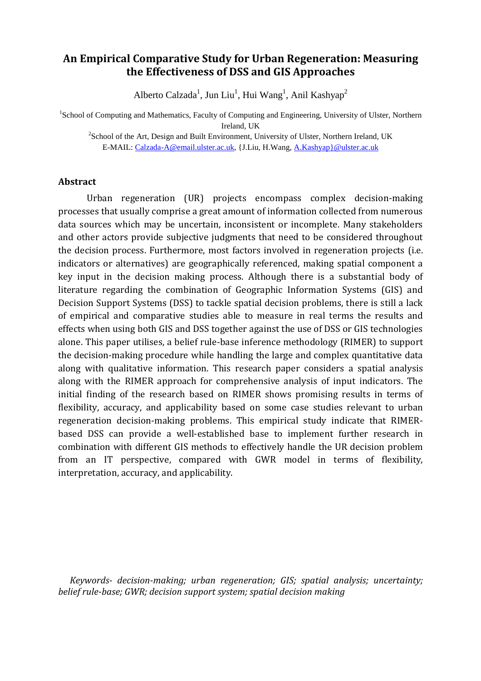# **An Empirical Comparative Study for Urban Regeneration: Measuring the Effectiveness of DSS and GIS Approaches**

Alberto Calzada<sup>1</sup>, Jun Liu<sup>1</sup>, Hui Wang<sup>1</sup>, Anil Kashyap<sup>2</sup>

<sup>1</sup>School of Computing and Mathematics, Faculty of Computing and Engineering, University of Ulster, Northern Ireland, UK

 $2$ School of the Art, Design and Built Environment, University of Ulster, Northern Ireland, UK E-MAIL: Calzada-A@email.ulster.ac.uk, {J.Liu, H.Wang, A.Kashyap}@ulster.ac.uk

#### **Abstract**

Urban regeneration (UR) projects encompass complex decision-making processes that usually comprise a great amount of information collected from numerous data sources which may be uncertain, inconsistent or incomplete. Many stakeholders and other actors provide subjective judgments that need to be considered throughout the decision process. Furthermore, most factors involved in regeneration projects (i.e. indicators or alternatives) are geographically referenced, making spatial component a key input in the decision making process. Although there is a substantial body of literature regarding the combination of Geographic Information Systems (GIS) and Decision Support Systems (DSS) to tackle spatial decision problems, there is still a lack of empirical and comparative studies able to measure in real terms the results and effects when using both GIS and DSS together against the use of DSS or GIS technologies alone. This paper utilises, a belief rule-base inference methodology (RIMER) to support the decision-making procedure while handling the large and complex quantitative data along with qualitative information. This research paper considers a spatial analysis along with the RIMER approach for comprehensive analysis of input indicators. The initial finding of the research based on RIMER shows promising results in terms of flexibility, accuracy, and applicability based on some case studies relevant to urban regeneration decision-making problems. This empirical study indicate that RIMERbased DSS can provide a well-established base to implement further research in combination with different GIS methods to effectively handle the UR decision problem from an IT perspective, compared with GWR model in terms of flexibility, interpretation, accuracy, and applicability.

*Keywords- decision-making; urban regeneration; GIS; spatial analysis; uncertainty; belief rule-base; GWR; decision support system; spatial decision making*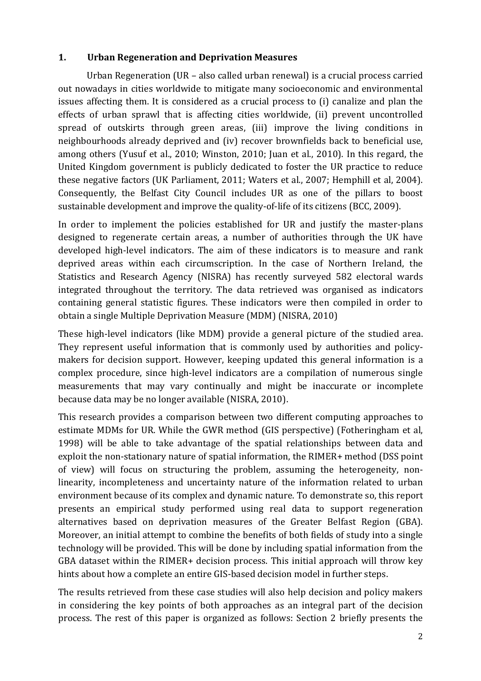## **1. Urban Regeneration and Deprivation Measures**

Urban Regeneration (UR – also called urban renewal) is a crucial process carried out nowadays in cities worldwide to mitigate many socioeconomic and environmental issues affecting them. It is considered as a crucial process to (i) canalize and plan the effects of urban sprawl that is affecting cities worldwide, (ii) prevent uncontrolled spread of outskirts through green areas, (iii) improve the living conditions in neighbourhoods already deprived and (iv) recover brownfields back to beneficial use, among others (Yusuf et al., 2010; Winston, 2010; Juan et al., 2010). In this regard, the United Kingdom government is publicly dedicated to foster the UR practice to reduce these negative factors (UK Parliament, 2011; Waters et al., 2007; Hemphill et al, 2004). Consequently, the Belfast City Council includes UR as one of the pillars to boost sustainable development and improve the quality-of-life of its citizens (BCC, 2009).

In order to implement the policies established for UR and justify the master-plans designed to regenerate certain areas, a number of authorities through the UK have developed high-level indicators. The aim of these indicators is to measure and rank deprived areas within each circumscription. In the case of Northern Ireland, the Statistics and Research Agency (NISRA) has recently surveyed 582 electoral wards integrated throughout the territory. The data retrieved was organised as indicators containing general statistic figures. These indicators were then compiled in order to obtain a single Multiple Deprivation Measure (MDM) (NISRA, 2010)

These high-level indicators (like MDM) provide a general picture of the studied area. They represent useful information that is commonly used by authorities and policymakers for decision support. However, keeping updated this general information is a complex procedure, since high-level indicators are a compilation of numerous single measurements that may vary continually and might be inaccurate or incomplete because data may be no longer available (NISRA, 2010).

This research provides a comparison between two different computing approaches to estimate MDMs for UR. While the GWR method (GIS perspective) (Fotheringham et al, 1998) will be able to take advantage of the spatial relationships between data and exploit the non-stationary nature of spatial information, the RIMER+ method (DSS point of view) will focus on structuring the problem, assuming the heterogeneity, nonlinearity, incompleteness and uncertainty nature of the information related to urban environment because of its complex and dynamic nature. To demonstrate so, this report presents an empirical study performed using real data to support regeneration alternatives based on deprivation measures of the Greater Belfast Region (GBA). Moreover, an initial attempt to combine the benefits of both fields of study into a single technology will be provided. This will be done by including spatial information from the GBA dataset within the RIMER+ decision process. This initial approach will throw key hints about how a complete an entire GIS-based decision model in further steps.

The results retrieved from these case studies will also help decision and policy makers in considering the key points of both approaches as an integral part of the decision process. The rest of this paper is organized as follows: Section 2 briefly presents the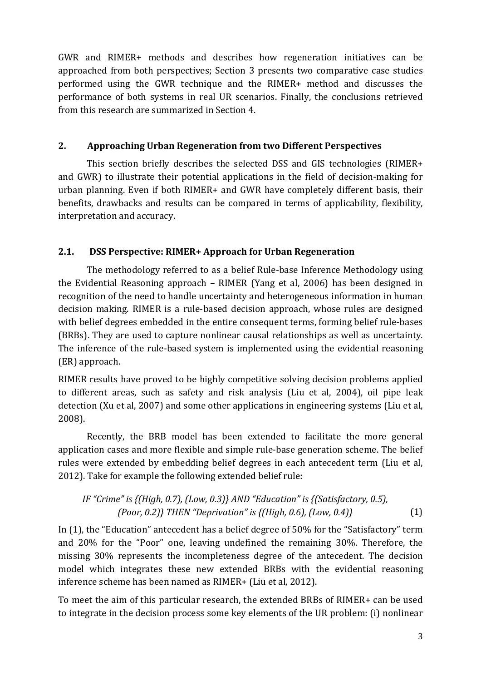GWR and RIMER+ methods and describes how regeneration initiatives can be approached from both perspectives; Section 3 presents two comparative case studies performed using the GWR technique and the RIMER+ method and discusses the performance of both systems in real UR scenarios. Finally, the conclusions retrieved from this research are summarized in Section 4.

### **2. Approaching Urban Regeneration from two Different Perspectives**

This section briefly describes the selected DSS and GIS technologies (RIMER+ and GWR) to illustrate their potential applications in the field of decision-making for urban planning. Even if both RIMER+ and GWR have completely different basis, their benefits, drawbacks and results can be compared in terms of applicability, flexibility, interpretation and accuracy.

## **2.1. DSS Perspective: RIMER+ Approach for Urban Regeneration**

The methodology referred to as a belief Rule-base Inference Methodology using the Evidential Reasoning approach – RIMER (Yang et al, 2006) has been designed in recognition of the need to handle uncertainty and heterogeneous information in human decision making. RIMER is a rule-based decision approach, whose rules are designed with belief degrees embedded in the entire consequent terms, forming belief rule-bases (BRBs). They are used to capture nonlinear causal relationships as well as uncertainty. The inference of the rule-based system is implemented using the evidential reasoning (ER) approach.

RIMER results have proved to be highly competitive solving decision problems applied to different areas, such as safety and risk analysis (Liu et al, 2004), oil pipe leak detection (Xu et al, 2007) and some other applications in engineering systems (Liu et al, 2008).

Recently, the BRB model has been extended to facilitate the more general application cases and more flexible and simple rule-base generation scheme. The belief rules were extended by embedding belief degrees in each antecedent term (Liu et al, 2012). Take for example the following extended belief rule:

```
 (1) 
IF "Crime" is {(High, 0.7), (Low, 0.3)} AND "Education" is {(Satisfactory, 0.5), 
         (Poor, 0.2)} THEN "Deprivation" is {(High, 0.6), (Low, 0.4)}
```
In (1), the "Education" antecedent has a belief degree of 50% for the "Satisfactory" term and 20% for the "Poor" one, leaving undefined the remaining 30%. Therefore, the missing 30% represents the incompleteness degree of the antecedent. The decision model which integrates these new extended BRBs with the evidential reasoning inference scheme has been named as RIMER+ (Liu et al, 2012).

To meet the aim of this particular research, the extended BRBs of RIMER+ can be used to integrate in the decision process some key elements of the UR problem: (i) nonlinear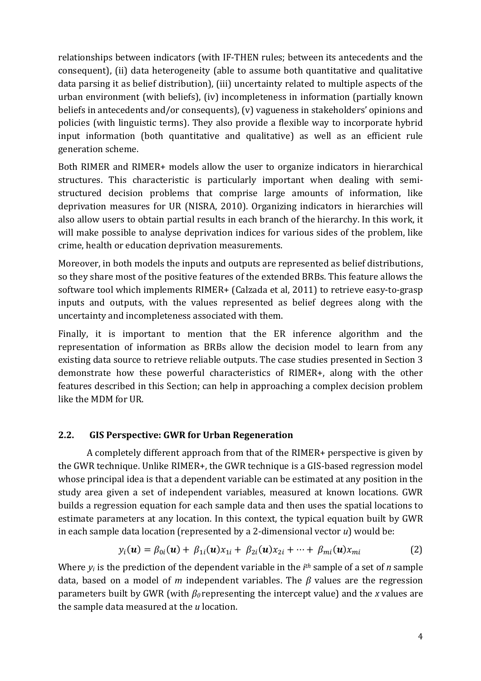relationships between indicators (with IF-THEN rules; between its antecedents and the consequent), (ii) data heterogeneity (able to assume both quantitative and qualitative data parsing it as belief distribution), (iii) uncertainty related to multiple aspects of the urban environment (with beliefs), (iv) incompleteness in information (partially known beliefs in antecedents and/or consequents), (v) vagueness in stakeholders' opinions and policies (with linguistic terms). They also provide a flexible way to incorporate hybrid input information (both quantitative and qualitative) as well as an efficient rule generation scheme.

Both RIMER and RIMER+ models allow the user to organize indicators in hierarchical structures. This characteristic is particularly important when dealing with semistructured decision problems that comprise large amounts of information, like deprivation measures for UR (NISRA, 2010). Organizing indicators in hierarchies will also allow users to obtain partial results in each branch of the hierarchy. In this work, it will make possible to analyse deprivation indices for various sides of the problem, like crime, health or education deprivation measurements.

Moreover, in both models the inputs and outputs are represented as belief distributions, so they share most of the positive features of the extended BRBs. This feature allows the software tool which implements RIMER+ (Calzada et al, 2011) to retrieve easy-to-grasp inputs and outputs, with the values represented as belief degrees along with the uncertainty and incompleteness associated with them.

Finally, it is important to mention that the ER inference algorithm and the representation of information as BRBs allow the decision model to learn from any existing data source to retrieve reliable outputs. The case studies presented in Section 3 demonstrate how these powerful characteristics of RIMER+, along with the other features described in this Section; can help in approaching a complex decision problem like the MDM for UR.

## **2.2. GIS Perspective: GWR for Urban Regeneration**

A completely different approach from that of the RIMER+ perspective is given by the GWR technique. Unlike RIMER+, the GWR technique is a GIS-based regression model whose principal idea is that a dependent variable can be estimated at any position in the study area given a set of independent variables, measured at known locations. GWR builds a regression equation for each sample data and then uses the spatial locations to estimate parameters at any location. In this context, the typical equation built by GWR in each sample data location (represented by a 2-dimensional vector *u*) would be:

$$
y_i(\mathbf{u}) = \beta_{0i}(\mathbf{u}) + \beta_{1i}(\mathbf{u})x_{1i} + \beta_{2i}(\mathbf{u})x_{2i} + \dots + \beta_{mi}(\mathbf{u})x_{mi}
$$
(2)

Where *yi* is the prediction of the dependent variable in the *i th* sample of a set of *n* sample data, based on a model of *m* independent variables. The *β* values are the regression parameters built by GWR (with *β<sup>0</sup>* representing the intercept value) and the *x* values are the sample data measured at the *u* location.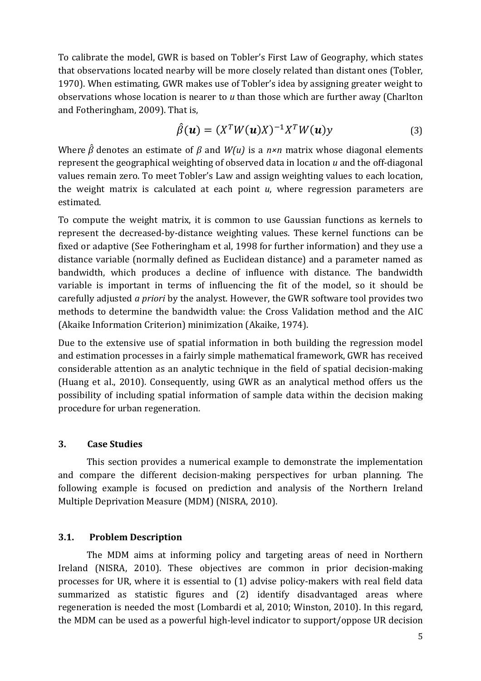To calibrate the model, GWR is based on Tobler's First Law of Geography, which states that observations located nearby will be more closely related than distant ones (Tobler, 1970). When estimating, GWR makes use of Tobler's idea by assigning greater weight to observations whose location is nearer to *u* than those which are further away (Charlton and Fotheringham, 2009). That is,

$$
\hat{\beta}(\boldsymbol{u}) = (X^T W(\boldsymbol{u}) X)^{-1} X^T W(\boldsymbol{u}) y \tag{3}
$$

Where  $\hat{\beta}$  denotes an estimate of  $\beta$  and  $W(u)$  is a  $n \times n$  matrix whose diagonal elements represent the geographical weighting of observed data in location *u* and the off-diagonal values remain zero. To meet Tobler's Law and assign weighting values to each location, the weight matrix is calculated at each point *u*, where regression parameters are estimated.

To compute the weight matrix, it is common to use Gaussian functions as kernels to represent the decreased-by-distance weighting values. These kernel functions can be fixed or adaptive (See Fotheringham et al, 1998 for further information) and they use a distance variable (normally defined as Euclidean distance) and a parameter named as bandwidth, which produces a decline of influence with distance. The bandwidth variable is important in terms of influencing the fit of the model, so it should be carefully adjusted *a priori* by the analyst. However, the GWR software tool provides two methods to determine the bandwidth value: the Cross Validation method and the AIC (Akaike Information Criterion) minimization (Akaike, 1974).

Due to the extensive use of spatial information in both building the regression model and estimation processes in a fairly simple mathematical framework, GWR has received considerable attention as an analytic technique in the field of spatial decision-making (Huang et al., 2010). Consequently, using GWR as an analytical method offers us the possibility of including spatial information of sample data within the decision making procedure for urban regeneration.

### **3. Case Studies**

This section provides a numerical example to demonstrate the implementation and compare the different decision-making perspectives for urban planning. The following example is focused on prediction and analysis of the Northern Ireland Multiple Deprivation Measure (MDM) (NISRA, 2010).

### **3.1. Problem Description**

The MDM aims at informing policy and targeting areas of need in Northern Ireland (NISRA, 2010). These objectives are common in prior decision-making processes for UR, where it is essential to (1) advise policy-makers with real field data summarized as statistic figures and (2) identify disadvantaged areas where regeneration is needed the most (Lombardi et al, 2010; Winston, 2010). In this regard, the MDM can be used as a powerful high-level indicator to support/oppose UR decision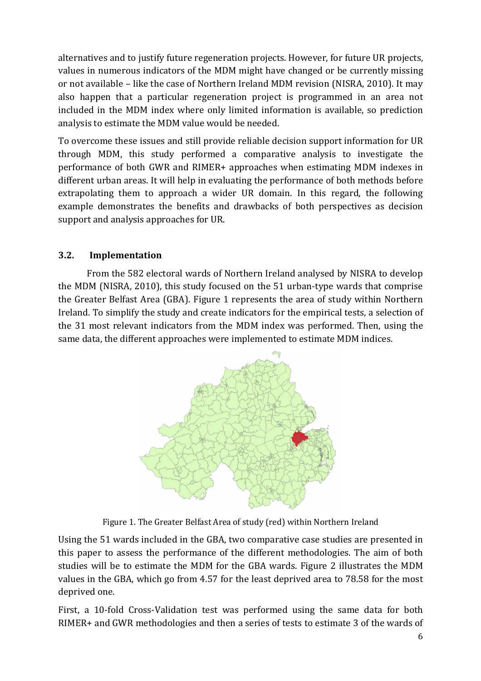alternatives and to justify future regeneration projects. However, for future UR projects, values in numerous indicators of the MDM might have changed or be currently missing or not available – like the case of Northern Ireland MDM revision (NISRA, 2010). It may also happen that a particular regeneration project is programmed in an area not included in the MDM index where only limited information is available, so prediction analysis to estimate the MDM value would be needed.

To overcome these issues and still provide reliable decision support information for UR through MDM, this study performed a comparative analysis to investigate the performance of both GWR and RIMER+ approaches when estimating MDM indexes in different urban areas. It will help in evaluating the performance of both methods before extrapolating them to approach a wider UR domain. In this regard, the following example demonstrates the benefits and drawbacks of both perspectives as decision support and analysis approaches for UR.

## **3.2. Implementation**

From the 582 electoral wards of Northern Ireland analysed by NISRA to develop the MDM (NISRA, 2010), this study focused on the 51 urban-type wards that comprise the Greater Belfast Area (GBA). Figure 1 represents the area of study within Northern Ireland. To simplify the study and create indicators for the empirical tests, a selection of the 31 most relevant indicators from the MDM index was performed. Then, using the same data, the different approaches were implemented to estimate MDM indices.



Figure 1. The Greater Belfast Area of study (red) within Northern Ireland

Using the 51 wards included in the GBA, two comparative case studies are presented in this paper to assess the performance of the different methodologies. The aim of both studies will be to estimate the MDM for the GBA wards. Figure 2 illustrates the MDM values in the GBA, which go from 4.57 for the least deprived area to 78.58 for the most deprived one.

First, a 10-fold Cross-Validation test was performed using the same data for both RIMER+ and GWR methodologies and then a series of tests to estimate 3 of the wards of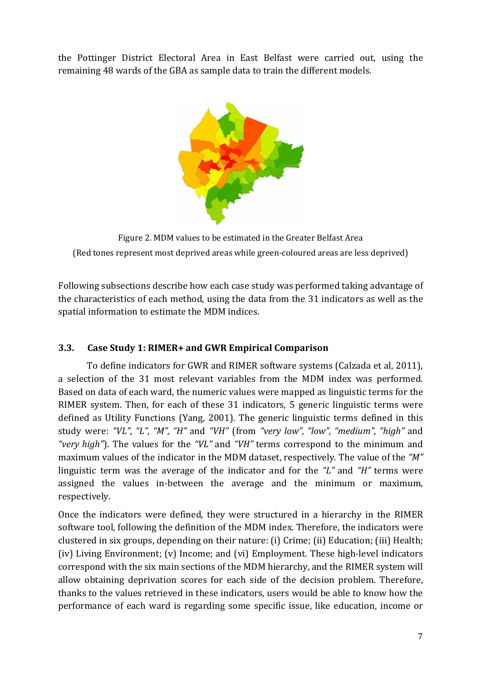the Pottinger District Electoral Area in East Belfast were carried out, using the remaining 48 wards of the GBA as sample data to train the different models.



Figure 2. MDM values to be estimated in the Greater Belfast Area (Red tones represent most deprived areas while green-coloured areas are less deprived)

Following subsections describe how each case study was performed taking advantage of the characteristics of each method, using the data from the 31 indicators as well as the spatial information to estimate the MDM indices.

## **3.3. Case Study 1: RIMER+ and GWR Empirical Comparison**

To define indicators for GWR and RIMER software systems (Calzada et al, 2011), a selection of the 31 most relevant variables from the MDM index was performed. Based on data of each ward, the numeric values were mapped as linguistic terms for the RIMER system. Then, for each of these 31 indicators, 5 generic linguistic terms were defined as Utility Functions (Yang, 2001). The generic linguistic terms defined in this study were: *"VL", "L", "M", "H"* and *"VH"* (from *"very low", "low", "medium", "high"* and *"very high"*). The values for the *"VL"* and *"VH"* terms correspond to the minimum and maximum values of the indicator in the MDM dataset, respectively. The value of the *"M"*  linguistic term was the average of the indicator and for the *"L"* and *"H"* terms were assigned the values in-between the average and the minimum or maximum, respectively.

Once the indicators were defined, they were structured in a hierarchy in the RIMER software tool, following the definition of the MDM index. Therefore, the indicators were clustered in six groups, depending on their nature: (i) Crime; (ii) Education; (iii) Health; (iv) Living Environment; (v) Income; and (vi) Employment. These high-level indicators correspond with the six main sections of the MDM hierarchy, and the RIMER system will allow obtaining deprivation scores for each side of the decision problem. Therefore, thanks to the values retrieved in these indicators, users would be able to know how the performance of each ward is regarding some specific issue, like education, income or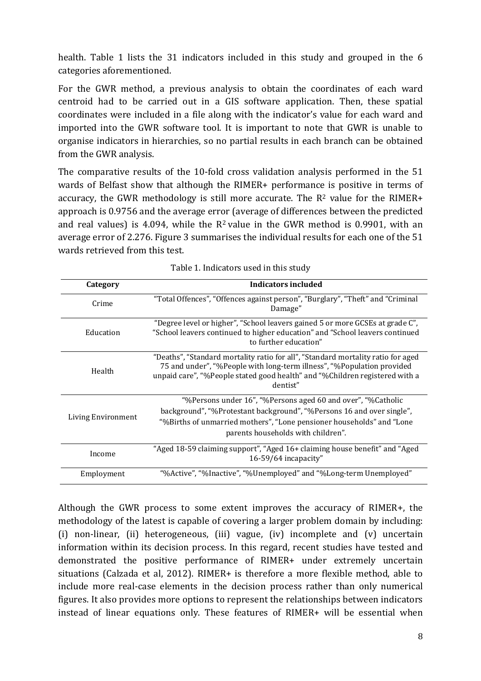health. Table 1 lists the 31 indicators included in this study and grouped in the 6 categories aforementioned.

For the GWR method, a previous analysis to obtain the coordinates of each ward centroid had to be carried out in a GIS software application. Then, these spatial coordinates were included in a file along with the indicator's value for each ward and imported into the GWR software tool. It is important to note that GWR is unable to organise indicators in hierarchies, so no partial results in each branch can be obtained from the GWR analysis.

The comparative results of the 10-fold cross validation analysis performed in the 51 wards of Belfast show that although the RIMER+ performance is positive in terms of accuracy, the GWR methodology is still more accurate. The  $R^2$  value for the RIMER+ approach is 0.9756 and the average error (average of differences between the predicted and real values) is 4.094, while the  $R^2$  value in the GWR method is 0.9901, with an average error of 2.276. Figure 3 summarises the individual results for each one of the 51 wards retrieved from this test.

| Category           | Indicators included                                                                                                                                                                                                                                   |  |  |
|--------------------|-------------------------------------------------------------------------------------------------------------------------------------------------------------------------------------------------------------------------------------------------------|--|--|
| Crime              | "Total Offences", "Offences against person", "Burglary", "Theft" and "Criminal<br>Damage"                                                                                                                                                             |  |  |
| Education          | "Degree level or higher", "School leavers gained 5 or more GCSEs at grade C",<br>"School leavers continued to higher education" and "School leavers continued<br>to further education"                                                                |  |  |
| Health             | "Deaths", "Standard mortality ratio for all", "Standard mortality ratio for aged<br>75 and under", "%People with long-term illness", "%Population provided<br>unpaid care", "%People stated good health" and "%Children registered with a<br>dentist" |  |  |
| Living Environment | "%Persons under 16", "%Persons aged 60 and over", "%Catholic<br>background", "%Protestant background", "%Persons 16 and over single",<br>"%Births of unmarried mothers", "Lone pensioner households" and "Lone"<br>parents households with children". |  |  |
| Income             | "Aged 18-59 claiming support", "Aged 16+ claiming house benefit" and "Aged<br>16-59/64 incapacity"                                                                                                                                                    |  |  |
| Employment         | "%Active", "%Inactive", "%Unemployed" and "%Long-term Unemployed"                                                                                                                                                                                     |  |  |

| Table 1. Indicators used in this study |  |  |  |
|----------------------------------------|--|--|--|
|----------------------------------------|--|--|--|

Although the GWR process to some extent improves the accuracy of RIMER+, the methodology of the latest is capable of covering a larger problem domain by including: (i) non-linear, (ii) heterogeneous, (iii) vague, (iv) incomplete and (v) uncertain information within its decision process. In this regard, recent studies have tested and demonstrated the positive performance of RIMER+ under extremely uncertain situations (Calzada et al, 2012). RIMER+ is therefore a more flexible method, able to include more real-case elements in the decision process rather than only numerical figures. It also provides more options to represent the relationships between indicators instead of linear equations only. These features of RIMER+ will be essential when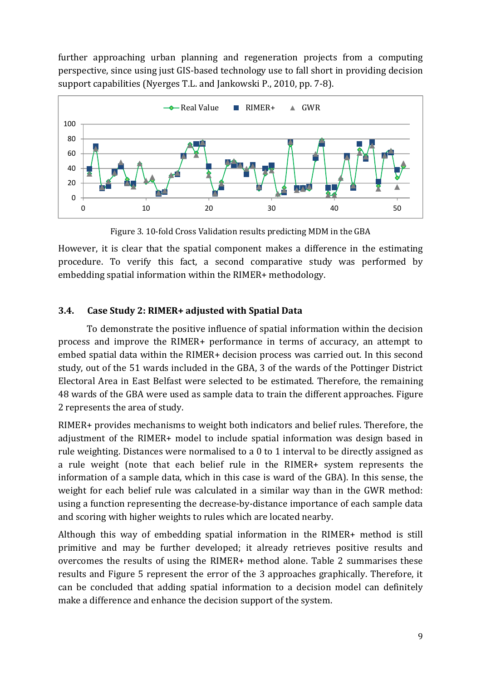further approaching urban planning and regeneration projects from a computing perspective, since using just GIS-based technology use to fall short in providing decision support capabilities (Nyerges T.L. and Jankowski P., 2010, pp. 7-8).



Figure 3. 10-fold Cross Validation results predicting MDM in the GBA

However, it is clear that the spatial component makes a difference in the estimating procedure. To verify this fact, a second comparative study was performed by embedding spatial information within the RIMER+ methodology.

## **3.4. Case Study 2: RIMER+ adjusted with Spatial Data**

To demonstrate the positive influence of spatial information within the decision process and improve the RIMER+ performance in terms of accuracy, an attempt to embed spatial data within the RIMER+ decision process was carried out. In this second study, out of the 51 wards included in the GBA, 3 of the wards of the Pottinger District Electoral Area in East Belfast were selected to be estimated. Therefore, the remaining 48 wards of the GBA were used as sample data to train the different approaches. Figure 2 represents the area of study.

RIMER+ provides mechanisms to weight both indicators and belief rules. Therefore, the adjustment of the RIMER+ model to include spatial information was design based in rule weighting. Distances were normalised to a 0 to 1 interval to be directly assigned as a rule weight (note that each belief rule in the RIMER+ system represents the information of a sample data, which in this case is ward of the GBA). In this sense, the weight for each belief rule was calculated in a similar way than in the GWR method: using a function representing the decrease-by-distance importance of each sample data and scoring with higher weights to rules which are located nearby.

Although this way of embedding spatial information in the RIMER+ method is still primitive and may be further developed; it already retrieves positive results and overcomes the results of using the RIMER+ method alone. Table 2 summarises these results and Figure 5 represent the error of the 3 approaches graphically. Therefore, it can be concluded that adding spatial information to a decision model can definitely make a difference and enhance the decision support of the system.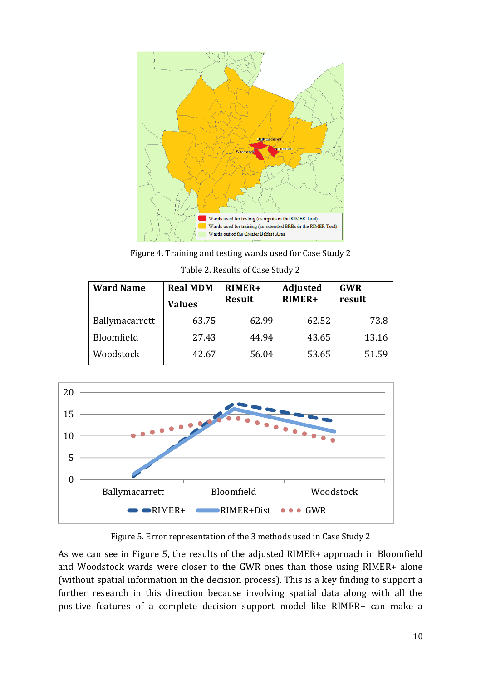

Figure 4. Training and testing wards used for Case Study 2

| Table 2. Results of Case Study 2 |  |  |
|----------------------------------|--|--|
|                                  |  |  |

| <b>Ward Name</b> | <b>Real MDM</b><br><b>Values</b> | RIMER+<br><b>Result</b> | Adjusted<br>RIMER+ | <b>GWR</b><br>result |
|------------------|----------------------------------|-------------------------|--------------------|----------------------|
| Ballymacarrett   | 63.75                            | 62.99                   | 62.52              | 73.8                 |
| Bloomfield       | 27.43                            | 44.94                   | 43.65              | 13.16                |
| Woodstock        | 42.67                            | 56.04                   | 53.65              | 51.59                |



Figure 5. Error representation of the 3 methods used in Case Study 2

As we can see in Figure 5, the results of the adjusted RIMER+ approach in Bloomfield and Woodstock wards were closer to the GWR ones than those using RIMER+ alone (without spatial information in the decision process). This is a key finding to support a further research in this direction because involving spatial data along with all the positive features of a complete decision support model like RIMER+ can make a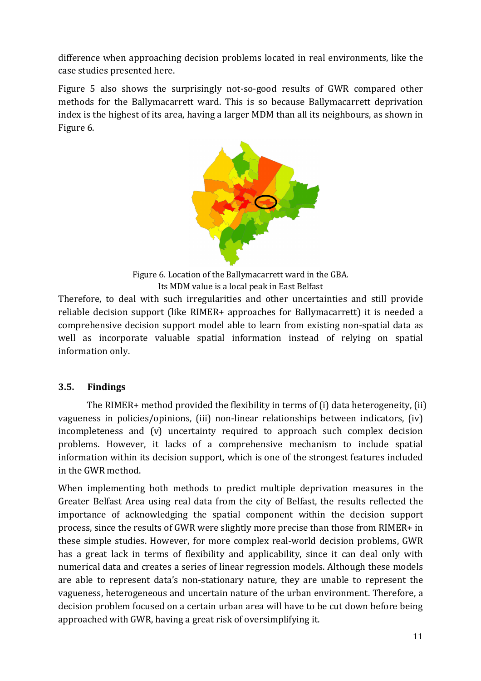difference when approaching decision problems located in real environments, like the case studies presented here.

Figure 5 also shows the surprisingly not-so-good results of GWR compared other methods for the Ballymacarrett ward. This is so because Ballymacarrett deprivation index is the highest of its area, having a larger MDM than all its neighbours, as shown in Figure 6.



Figure 6. Location of the Ballymacarrett ward in the GBA. Its MDM value is a local peak in East Belfast

Therefore, to deal with such irregularities and other uncertainties and still provide reliable decision support (like RIMER+ approaches for Ballymacarrett) it is needed a comprehensive decision support model able to learn from existing non-spatial data as well as incorporate valuable spatial information instead of relying on spatial information only.

## **3.5. Findings**

The RIMER+ method provided the flexibility in terms of (i) data heterogeneity, (ii) vagueness in policies/opinions, (iii) non-linear relationships between indicators, (iv) incompleteness and (v) uncertainty required to approach such complex decision problems. However, it lacks of a comprehensive mechanism to include spatial information within its decision support, which is one of the strongest features included in the GWR method.

When implementing both methods to predict multiple deprivation measures in the Greater Belfast Area using real data from the city of Belfast, the results reflected the importance of acknowledging the spatial component within the decision support process, since the results of GWR were slightly more precise than those from RIMER+ in these simple studies. However, for more complex real-world decision problems, GWR has a great lack in terms of flexibility and applicability, since it can deal only with numerical data and creates a series of linear regression models. Although these models are able to represent data's non-stationary nature, they are unable to represent the vagueness, heterogeneous and uncertain nature of the urban environment. Therefore, a decision problem focused on a certain urban area will have to be cut down before being approached with GWR, having a great risk of oversimplifying it.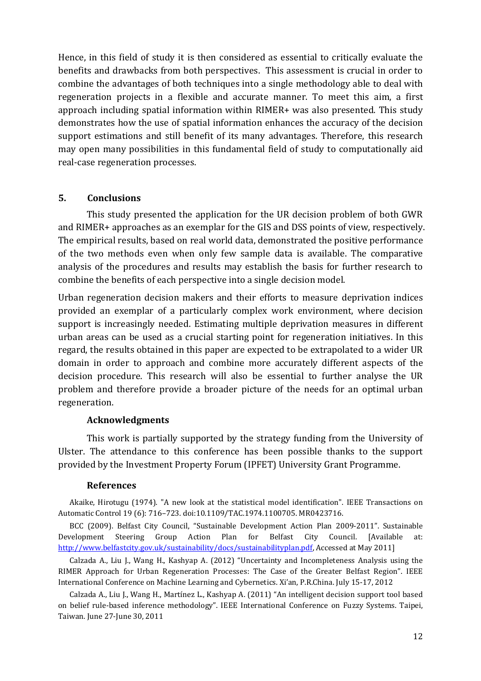Hence, in this field of study it is then considered as essential to critically evaluate the benefits and drawbacks from both perspectives. This assessment is crucial in order to combine the advantages of both techniques into a single methodology able to deal with regeneration projects in a flexible and accurate manner. To meet this aim, a first approach including spatial information within RIMER+ was also presented. This study demonstrates how the use of spatial information enhances the accuracy of the decision support estimations and still benefit of its many advantages. Therefore, this research may open many possibilities in this fundamental field of study to computationally aid real-case regeneration processes.

### **5. Conclusions**

This study presented the application for the UR decision problem of both GWR and RIMER+ approaches as an exemplar for the GIS and DSS points of view, respectively. The empirical results, based on real world data, demonstrated the positive performance of the two methods even when only few sample data is available. The comparative analysis of the procedures and results may establish the basis for further research to combine the benefits of each perspective into a single decision model.

Urban regeneration decision makers and their efforts to measure deprivation indices provided an exemplar of a particularly complex work environment, where decision support is increasingly needed. Estimating multiple deprivation measures in different urban areas can be used as a crucial starting point for regeneration initiatives. In this regard, the results obtained in this paper are expected to be extrapolated to a wider UR domain in order to approach and combine more accurately different aspects of the decision procedure. This research will also be essential to further analyse the UR problem and therefore provide a broader picture of the needs for an optimal urban regeneration.

### **Acknowledgments**

This work is partially supported by the strategy funding from the University of Ulster. The attendance to this conference has been possible thanks to the support provided by the Investment Property Forum (IPFET) University Grant Programme.

### **References**

Akaike, Hirotugu (1974). "A new look at the statistical model identification". IEEE Transactions on Automatic Control 19 (6): 716–723. doi:10.1109/TAC.1974.1100705. MR0423716.

BCC (2009). Belfast City Council, "Sustainable Development Action Plan 2009-2011". Sustainable Development Steering Group Action Plan for Belfast City Council. [Available at: http://www.belfastcity.gov.uk/sustainability/docs/sustainabilityplan.pdf, Accessed at May 2011]

Calzada A., Liu J., Wang H., Kashyap A. (2012) "Uncertainty and Incompleteness Analysis using the RIMER Approach for Urban Regeneration Processes: The Case of the Greater Belfast Region". IEEE International Conference on Machine Learning and Cybernetics. Xi'an, P.R.China. July 15-17, 2012

Calzada A., Liu J., Wang H., Martínez L., Kashyap A. (2011) "An intelligent decision support tool based on belief rule-based inference methodology". IEEE International Conference on Fuzzy Systems. Taipei, Taiwan. June 27-June 30, 2011